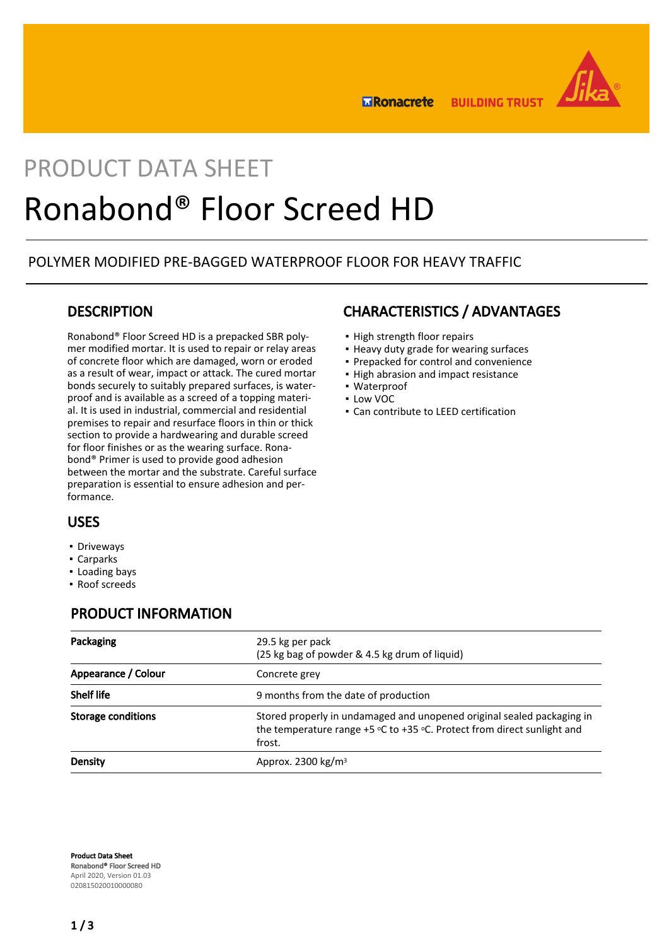

**BUILDING TRUST ERonacrete** 

# PRODUCT DATA SHEET Ronabond® Floor Screed HD

# POLYMER MODIFIED PRE-BAGGED WATERPROOF FLOOR FOR HEAVY TRAFFIC

# **DESCRIPTION**

Ronabond® Floor Screed HD is a prepacked SBR polymer modified mortar. It is used to repair or relay areas of concrete floor which are damaged, worn or eroded as a result of wear, impact or attack. The cured mortar bonds securely to suitably prepared surfaces, is waterproof and is available as a screed of a topping material. It is used in industrial, commercial and residential premises to repair and resurface floors in thin or thick section to provide a hardwearing and durable screed for floor finishes or as the wearing surface. Ronabond® Primer is used to provide good adhesion between the mortar and the substrate. Careful surface preparation is essential to ensure adhesion and performance.

# CHARACTERISTICS / ADVANTAGES

- High strength floor repairs
- **.** Heavy duty grade for wearing surfaces
- Prepacked for control and convenience
- High abrasion and impact resistance
- Waterproof
- Low VOC
- Can contribute to LEED certification

## USES

- **•** Driveways
- Carparks
- Loading bays
- Roof screeds

# PRODUCT INFORMATION

| Packaging                 | 29.5 kg per pack<br>(25 kg bag of powder & 4.5 kg drum of liquid)                                                                                                         |
|---------------------------|---------------------------------------------------------------------------------------------------------------------------------------------------------------------------|
| Appearance / Colour       | Concrete grey                                                                                                                                                             |
| <b>Shelf life</b>         | 9 months from the date of production                                                                                                                                      |
| <b>Storage conditions</b> | Stored properly in undamaged and unopened original sealed packaging in<br>the temperature range +5 $\circ$ C to +35 $\circ$ C. Protect from direct sunlight and<br>frost. |
| Density                   | Approx. 2300 $kg/m3$                                                                                                                                                      |

Product Data Sheet Ronabond® Floor Screed HD April 2020, Version 01.03 020815020010000080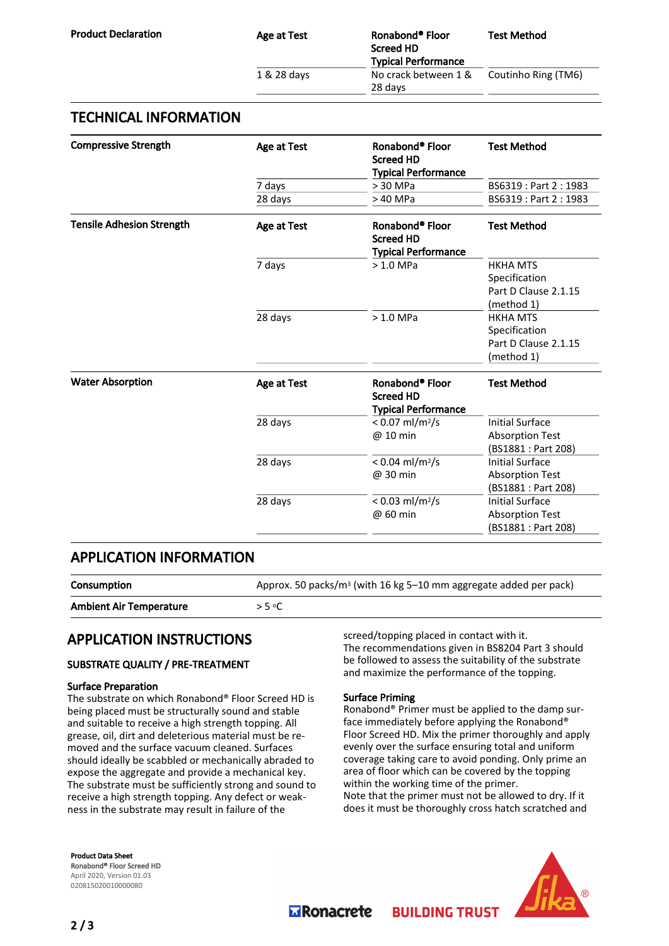| Age at Test | Ronabond® Floor<br><b>Screed HD</b><br><b>Typical Performance</b> | <b>Test Method</b>  |
|-------------|-------------------------------------------------------------------|---------------------|
| 1 & 28 days | No crack between 1 &<br>28 days                                   | Coutinho Ring (TM6) |

## TECHNICAL INFORMATION

| <b>Compressive Strength</b>      | Age at Test | Ronabond <sup>®</sup> Floor<br><b>Screed HD</b><br><b>Typical Performance</b> | <b>Test Method</b>                                                      |
|----------------------------------|-------------|-------------------------------------------------------------------------------|-------------------------------------------------------------------------|
|                                  | 7 days      | $> 30$ MPa                                                                    | BS6319: Part 2: 1983                                                    |
|                                  | 28 days     | > 40 MPa                                                                      | BS6319: Part 2: 1983                                                    |
| <b>Tensile Adhesion Strength</b> | Age at Test | Ronabond <sup>®</sup> Floor<br><b>Screed HD</b><br><b>Typical Performance</b> | <b>Test Method</b>                                                      |
|                                  | 7 days      | $>1.0$ MPa                                                                    | <b>HKHA MTS</b><br>Specification<br>Part D Clause 2.1.15<br>(method 1)  |
|                                  | 28 days     | $>1.0$ MPa                                                                    | <b>HKHA MTS</b><br>Specification<br>Part D Clause 2.1.15<br>(method 1)  |
| <b>Water Absorption</b>          | Age at Test | Ronabond <sup>®</sup> Floor<br><b>Screed HD</b><br><b>Typical Performance</b> | <b>Test Method</b>                                                      |
|                                  | 28 days     | $< 0.07$ ml/m <sup>2</sup> /s<br>@ 10 min                                     | <b>Initial Surface</b><br><b>Absorption Test</b><br>(BS1881 : Part 208) |
|                                  | 28 days     | $< 0.04$ ml/m <sup>2</sup> /s<br>@ 30 min                                     | <b>Initial Surface</b><br><b>Absorption Test</b><br>(BS1881 : Part 208) |
|                                  | 28 days     | $< 0.03$ ml/m <sup>2</sup> /s<br>@ 60 min                                     | <b>Initial Surface</b><br><b>Absorption Test</b><br>(BS1881 : Part 208) |

# APPLICATION INFORMATION

**Consumption**  $\mu$  Approx. 50 packs/m<sup>3</sup> (with 16 kg 5–10 mm aggregate added per pack) Ambient Air Temperature > 5 °C

# APPLICATION INSTRUCTIONS

#### SUBSTRATE QUALITY / PRE-TREATMENT

#### Surface Preparation

The substrate on which Ronabond® Floor Screed HD is being placed must be structurally sound and stable and suitable to receive a high strength topping. All grease, oil, dirt and deleterious material must be removed and the surface vacuum cleaned. Surfaces should ideally be scabbled or mechanically abraded to expose the aggregate and provide a mechanical key. The substrate must be sufficiently strong and sound to receive a high strength topping. Any defect or weakness in the substrate may result in failure of the

screed/topping placed in contact with it. The recommendations given in BS8204 Part 3 should be followed to assess the suitability of the substrate and maximize the performance of the topping.

#### Surface Priming

Ronabond® Primer must be applied to the damp surface immediately before applying the Ronabond® Floor Screed HD. Mix the primer thoroughly and apply evenly over the surface ensuring total and uniform coverage taking care to avoid ponding. Only prime an area of floor which can be covered by the topping within the working time of the primer. Note that the primer must not be allowed to dry. If it does it must be thoroughly cross hatch scratched and

**BUILDING TRUST** 

Product Data Sheet Ronabond® Floor Screed HD April 2020, Version 01.03 020815020010000080



**M** Ronacrete